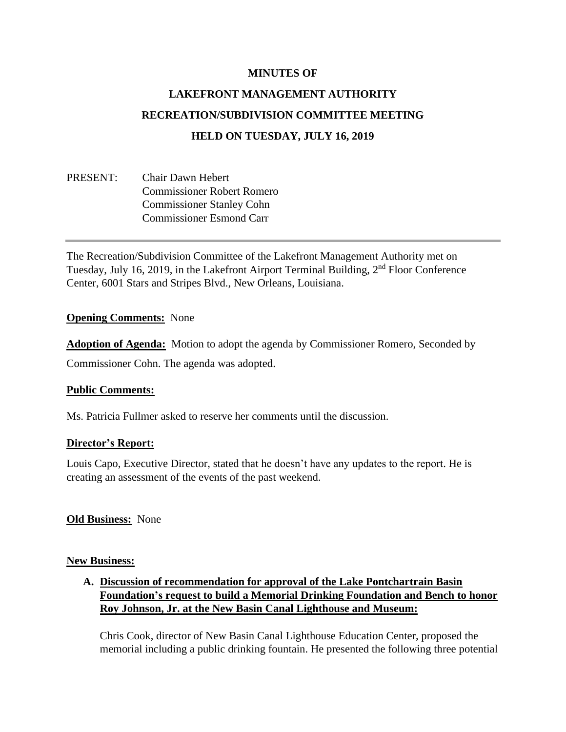### **MINUTES OF**

# **LAKEFRONT MANAGEMENT AUTHORITY RECREATION/SUBDIVISION COMMITTEE MEETING HELD ON TUESDAY, JULY 16, 2019**

# PRESENT: Chair Dawn Hebert Commissioner Robert Romero Commissioner Stanley Cohn Commissioner Esmond Carr

The Recreation/Subdivision Committee of the Lakefront Management Authority met on Tuesday, July 16, 2019, in the Lakefront Airport Terminal Building, 2nd Floor Conference Center, 6001 Stars and Stripes Blvd., New Orleans, Louisiana.

#### **Opening Comments:** None

**Adoption of Agenda:** Motion to adopt the agenda by Commissioner Romero, Seconded by Commissioner Cohn. The agenda was adopted.

#### **Public Comments:**

Ms. Patricia Fullmer asked to reserve her comments until the discussion.

#### **Director's Report:**

Louis Capo, Executive Director, stated that he doesn't have any updates to the report. He is creating an assessment of the events of the past weekend.

## **Old Business:** None

#### **New Business:**

# **A. Discussion of recommendation for approval of the Lake Pontchartrain Basin Foundation's request to build a Memorial Drinking Foundation and Bench to honor Roy Johnson, Jr. at the New Basin Canal Lighthouse and Museum:**

Chris Cook, director of New Basin Canal Lighthouse Education Center, proposed the memorial including a public drinking fountain. He presented the following three potential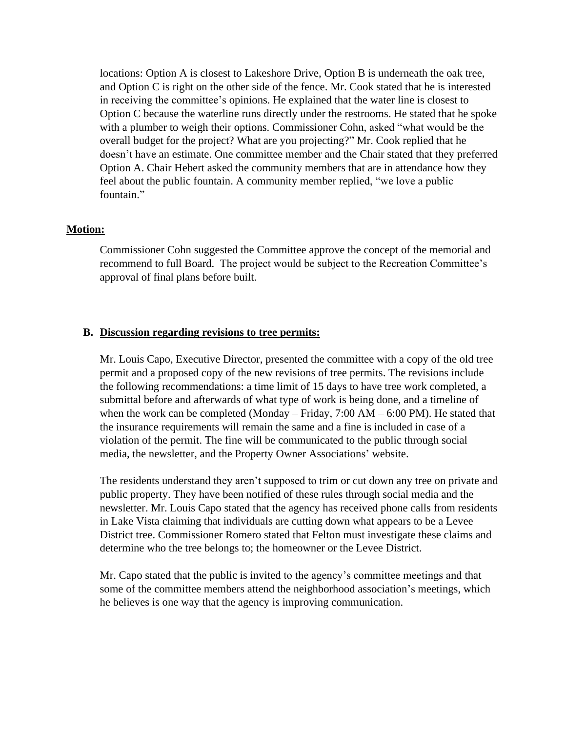locations: Option A is closest to Lakeshore Drive, Option B is underneath the oak tree, and Option C is right on the other side of the fence. Mr. Cook stated that he is interested in receiving the committee's opinions. He explained that the water line is closest to Option C because the waterline runs directly under the restrooms. He stated that he spoke with a plumber to weigh their options. Commissioner Cohn, asked "what would be the overall budget for the project? What are you projecting?" Mr. Cook replied that he doesn't have an estimate. One committee member and the Chair stated that they preferred Option A. Chair Hebert asked the community members that are in attendance how they feel about the public fountain. A community member replied, "we love a public fountain."

#### **Motion:**

Commissioner Cohn suggested the Committee approve the concept of the memorial and recommend to full Board. The project would be subject to the Recreation Committee's approval of final plans before built.

#### **B. Discussion regarding revisions to tree permits:**

Mr. Louis Capo, Executive Director, presented the committee with a copy of the old tree permit and a proposed copy of the new revisions of tree permits. The revisions include the following recommendations: a time limit of 15 days to have tree work completed, a submittal before and afterwards of what type of work is being done, and a timeline of when the work can be completed (Monday – Friday,  $7:00$  AM –  $6:00$  PM). He stated that the insurance requirements will remain the same and a fine is included in case of a violation of the permit. The fine will be communicated to the public through social media, the newsletter, and the Property Owner Associations' website.

The residents understand they aren't supposed to trim or cut down any tree on private and public property. They have been notified of these rules through social media and the newsletter. Mr. Louis Capo stated that the agency has received phone calls from residents in Lake Vista claiming that individuals are cutting down what appears to be a Levee District tree. Commissioner Romero stated that Felton must investigate these claims and determine who the tree belongs to; the homeowner or the Levee District.

Mr. Capo stated that the public is invited to the agency's committee meetings and that some of the committee members attend the neighborhood association's meetings, which he believes is one way that the agency is improving communication.